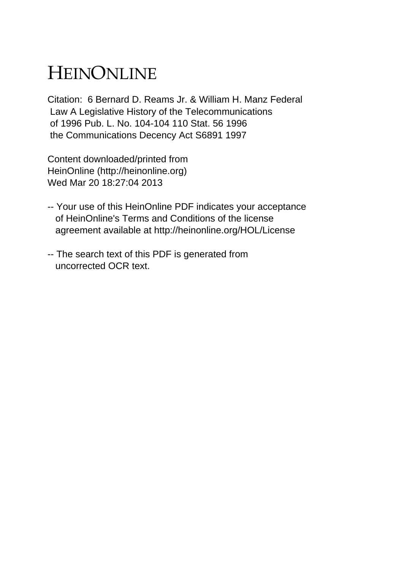# HEINONLINE

Citation: 6 Bernard D. Reams Jr. & William H. Manz Federal Law A Legislative History of the Telecommunications of 1996 Pub. L. No. 104-104 110 Stat. 56 1996 the Communications Decency Act S6891 1997

Content downloaded/printed from HeinOnline (http://heinonline.org) Wed Mar 20 18:27:04 2013

- -- Your use of this HeinOnline PDF indicates your acceptance of HeinOnline's Terms and Conditions of the license agreement available at http://heinonline.org/HOL/License
- -- The search text of this PDF is generated from uncorrected OCR text.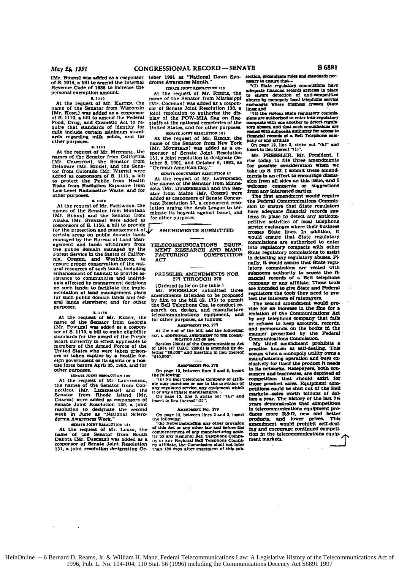Revenue Code of 1986 to increase the **sERATE JOINT RESOLUTION** 136<br>personal exemption amount. **At the request of Mr. REEG** personal exemption amount. At the request of Mr. RrxcLx, the

At the request of Mr. KASTEN, the **name** of the Senator from Wisconsin sor of Senate Joint Resolution **136.** [Mr. **Kom.L** was added **as a** cosponsor joint recolutlon to authorize the **d of** *S.* **1110. a bill** to amend the Federal **play of** the **POW-MIA flag on flg ag.** Food, Drug, and Cosmetic Act to re-<br>staffs at the national cemeteries of the under that standards of identity for United States, and for other purpose<br>milk include certain minimum stand-<br>architecture space and a regarding

names **of** the Senator from California **151.** a joint resolution to designate [Mr. CRAnsToel, the Senator from tober *6.* **1991.** and October **6. 1997,** Delaware (Mr. Bingxi), and the Sena- "Oerman-American Day."<br>
tor from Colorado (Mr. Warris was senare concurrent assolution at tor from Colorado (Mr. WIRTH) were<br>added as cosponsor of S. 1111, a bill all and concurrent into the Separation of SENATE CONCURRENT REGISTED<br>In the names of the Senator from Mini-<br>Low-Level Radiation Exposure from the nam

names of the Senator from Montana *minate* its boycott against Israel, and **IMR.** Business and the Senator from minate its boycott against Israel, and Alaska (Mr. Srxvusl were added as **for other puposes.** cosponsors of **S. 1156. a bill** to provide **for** the protection and management of ' **AMENDMENTS SUBMITrED** certain areas on public donaln lands managed **by** the Bureau of Land Management and lands withdrawn from<br>the public domain managed by the the public domain managed by the **MENT RESEARCH AND MANU** Forest Service in the States of Califor-<br>his. Oregon. and Washington: to **ACT**<br>cnsure proper conservation of the natural resources of such lands. Including enhancement of habitat; to provide as-<br>
sistance to communities and individ-<br>
uals affected by management decisions<br>
(Ordered to lie on the table.) on such lands; to facilitate the implementation of land management plans for such public domain lands and fed- **hans**<br>for such public domain lands and fed- amendments intended to be proposed<br>and lands along the set of the big that to be bill (S. 173) to permit for such public domain lands and federal lands elsewhere; and for other putnoses.

At the request of Mr. KERRY, the name of the Senator from Georgia name of the demator from Georgia<br>(Mr. Fowlers) was added as a cospon-<br>sor of S. 1175, a bill to make eligibility At the end of the bill, add the following: sor of S. 1175, a bill to make eligibility At the end of the bill, add the follow<br>standards for the award of the Purple *SEC A ADDITIONAL AMENDEM* TO THE COM standards for the award of the Purple  $BFC$  **4. ADOTTONIAL ARENDMENT TO THE COMMUNICATION ACT OF 1994.**<br>Heart currently in effect applicable to  $Bec15001206101$  the Communications Act of **the** *Section 2004* of **the** *sectio* members of the Armed Forces of the **Section 220(d) of the Communications Act**<br>
United States who were taken prison-<br>
letting "\$6,000" and inserting in lieu thereof United States who were taken prison-  $\frac{1634}{164000}$  and inserting in lieu the ers or taken captive by a hostile for-  $\frac{164000}{16000}$ . **elgn** government or **Its** agents or **a hostile force before April 25. 1962. and for <b>Almandment No. 278**<br> **on page 12. between lines 2** is other purpose. On pace *12,* between **lines** 2 and **3.** In **sere**

### **SENATE JOINT RESOLUTION 130**

At the request of Mr. LAUTENBERG, The names of the Senator from Con-<br>any regulated service, any equipment when the names of the Senator from Con-<br>any regulated service, any equipment when<br>Equation from Rhode Liand (Mr. ton page 12, line 3, strike out "(k)

cosponsor **of** Senate Joint Resolution **ny** affiliate, **the** Cornnmlon shall not 131, a joint resolution designating Oc-

[Mr. Smut **I was** added as **a** cosponsor tober **1991** as "National Down **Sy** of **S.** 1014. **a bill to** amend the Internal drome Awareness Month." tober 1991 as "National Down Syn-

**1110 1210 1211 1211 1211 1211 1211 1211 1211 1211 1211 1211 1211 1211 1211 1211 1211 1211 1211 1211 1211 1211 1211 1211 1211 1211 1211 1211 1211 1211 1211 1211 IM-** Cocursed was added as a cosponsor of Senate Joint Resolution 136, a ioint resolution to authorize the disstaffs at the national cemeteries of the<br>United States, and for other purposes.

ards regarding milk solids, and for the request of Mr. Russia, the other purposes.<br>
name of the Senator from New York **At the request of Mr. MITCHELL, the sponsor of Senate Joint Resolution**<br>At the request of Mr. MITCHELL, the sponsor of Senate Joint Resolution<br>
was added as a co-<br> **onic Resolution to designate Oc**ork tober 6, 1991, and October 6, 1992, as

anded as cosponsors of Senate Concurrent resolution 27, a concurrent resolution 27, a concurrent resolution 27. **Acro**<br>
lution urging the Arab League to ter-At the request of Mr. LAUTENBERG,<br>the names of the Senator from Minnesota (Mr. DURENBERGER) and the Senator from Maine [Mr. CoHEN] were<br>added as cosponsors of Senate Concur-

**ON**

## PRESSLER AMENDMENTS NOS.

Purposes, the **Bell** Telephone **Cos.** to conduct re-Lassea, and manufacture **search on**, design, and manufacture<br>At the request of Mr. KERRY, the the other purposes as follower,

the following:<br>
"(k) No Bell Telephone Company or affili-

the may purchase or use in the provision of<br>any regulated service, any equipment which<br>it or any affiliate manufactures.".

On page 12, line 3, strike out "(k)" and<br>insert in lieu thereof "(l)".

On page 12, between lines 2 and 3, insert

**MATE JOINT RESOLUTION 131** "(k) Notwithstanding any other provision control of Mr. I was a the of this Act or any other law and before the At the request of Mr. Lucas, the of this Act or any other law and before the angles of the Senator from South (the Senator from South (the Senator David David David David David David David David David David David David Dav **apaaPS-ater** sub-

section, promulgate rules and standards nec**esmy** to ensure that- **"(1)** State regulatory commissions have

adequate financial records systems in place<br>to ensure detection of anti-competitive<br>abuses by monopoly local telephone service<br>exchanges where business crosses State<br>lines; and<br>"(3) the various State regulatory commis-

"(2) the various State regulatory commissions are suthorized to enter into regulatory<br>commacts with one another to detect regulatory abuses, and that such commissions are vested with subpoena authority for access to financial records of a Bell Telephone com-

**Patny or any affliUate** On page **12,** line **3,** strike out **"(kY** and insert **In** lieu thereof **"(1".**

Mr. PRESSLER. Mr. President. **I** rise today to file three amendments for possible consideration when we<br>take up **R** 173. I submit these amendup **8. 173. I submit these amend**ments in an effort to encourage discus**sion** from an sides **on** this ssue,-and **I** welcome comments or suggestions from **any** interested Parties.

The first amendment would **require** the Federal Communications **Commission** to ensure that State regulators have adequate financial records **sys terms** in place to detect any antIcompetitive activities **of** local telephone service exchanges where their business crosses State **lines.** In addition, it would ensure that State regulatory commissions are authorized to enter into **regulatory** compacts with other State regulatory commissions to assist in detecting any regulatory abuses. **Fi-**nally, It would assure that **tate** regutatory commissions are vested with subpoena authority to **access** the fir nancial records of a Bell telephone company or **any** affiliate. These tool are intended to give State and Pederal regulators the tools they need to protect **the** interests of ratepayers

The second amendment would provide for an increase in the fine for a violation of the Communications **Act by** any telephone company that falls or refuses to keep accounts, records. and memoranda on the books in the **manner** prescribed **by** the Federal Communications Commission.

**My** third amendment prohibits a practice known as sell-dealing. **This** ocurs when a monopoly utility owns a manufacturing operation and buys ex-clusively for itself the product it needs in Its networks. Ratepayers. both **con**sumers and busineses. are deprived **of** competition that should exist **those** product **salen** Equipment con. pettions could be **shut** out of the **Ben** markets-sales worth billions of dol*lars* a year. The history of the last **7%** years demonstrates that competition in telecommunlcatlons equipment **pro duces** more **R&D.** new and better products, and lower prices. This **amendment** would prohibit self-deal**ing** and encomrage continued competition in the telecommunications equipment markets.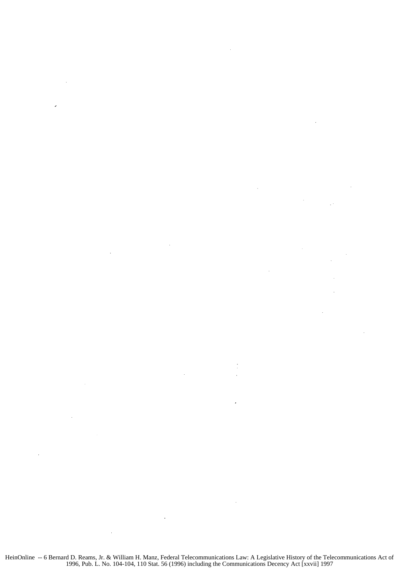HeinOnline -- 6 Bernard D. Reams, Jr. & William H. Manz, Federal Telecommunications Law: A Legislative History of the Telecommunications Act of 1996, Pub. L. No. 104-104, 110 Stat. 56 (1996) including the Communications Decency Act [xxvii] 1997

J,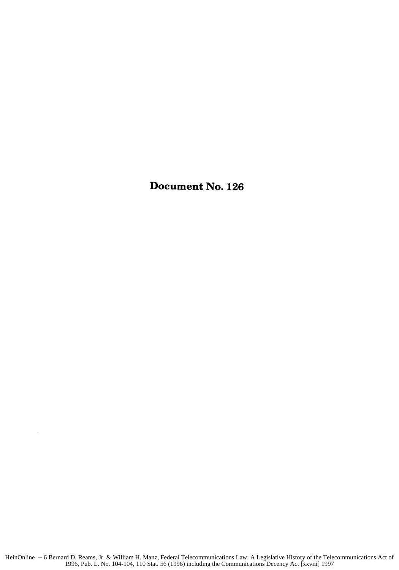Document No. **126**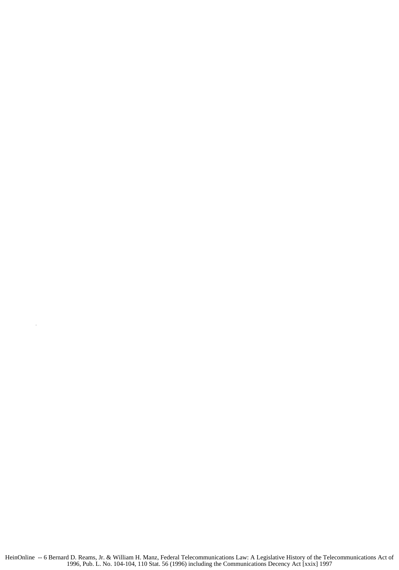HeinOnline -- 6 Bernard D. Reams, Jr. & William H. Manz, Federal Telecommunications Law: A Legislative History of the Telecommunications Act of 1996, Pub. L. No. 104-104, 110 Stat. 56 (1996) including the Communications Decency Act [xxix] 1997

l,